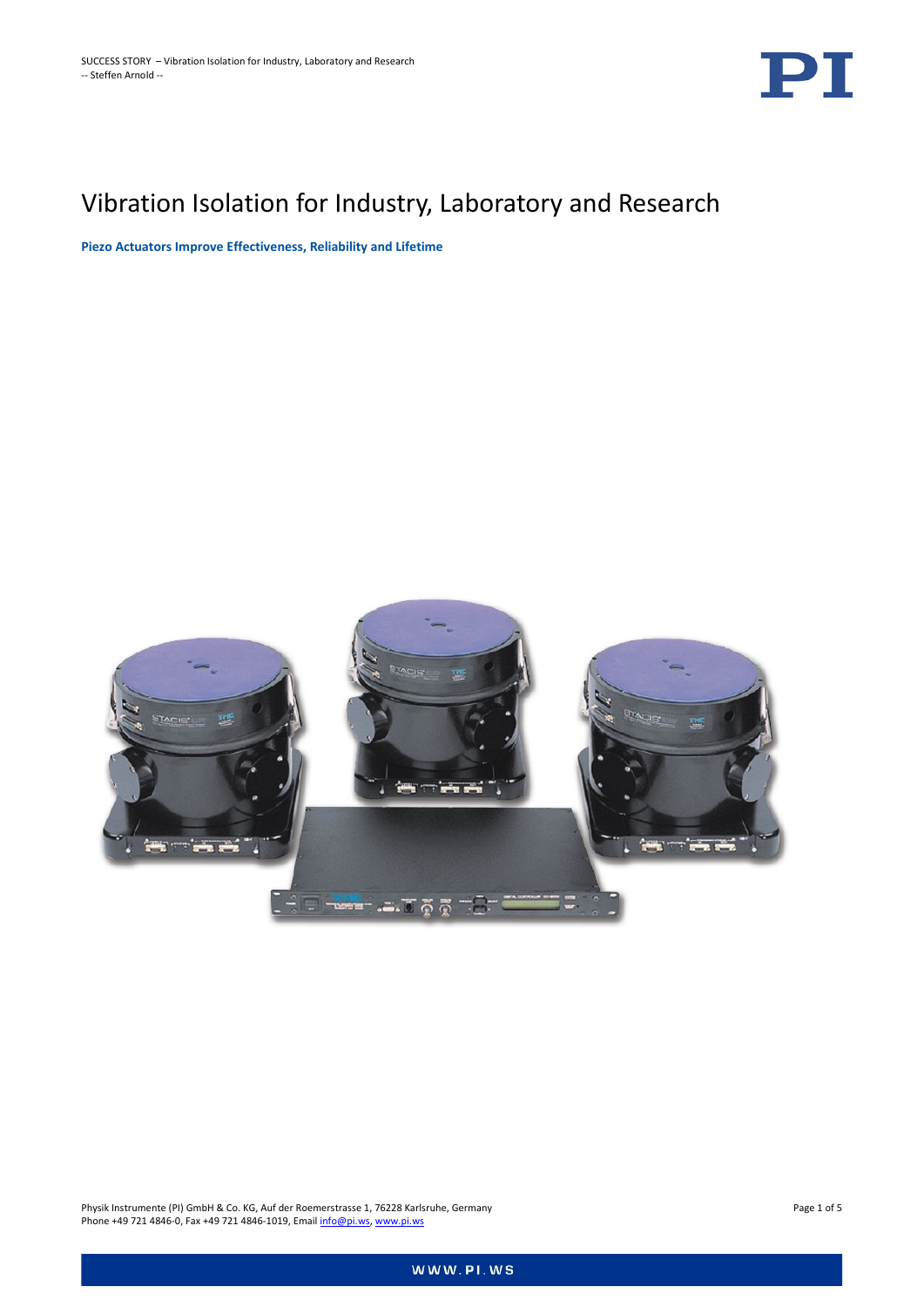

# Vibration Isolation for Industry, Laboratory and Research

**Piezo Actuators Improve Effectiveness, Reliability and Lifetime**



Physik Instrumente (PI) GmbH & Co. KG, Auf der Roemerstrasse 1, 76228 Karlsruhe, Germany Page 1 of 5 Phone +49 721 4846-0, Fax +49 721 4846-1019, Emai[l info@pi.ws,](mailto:info@pi.ws) [www.pi.ws](http://www.pi.ws/)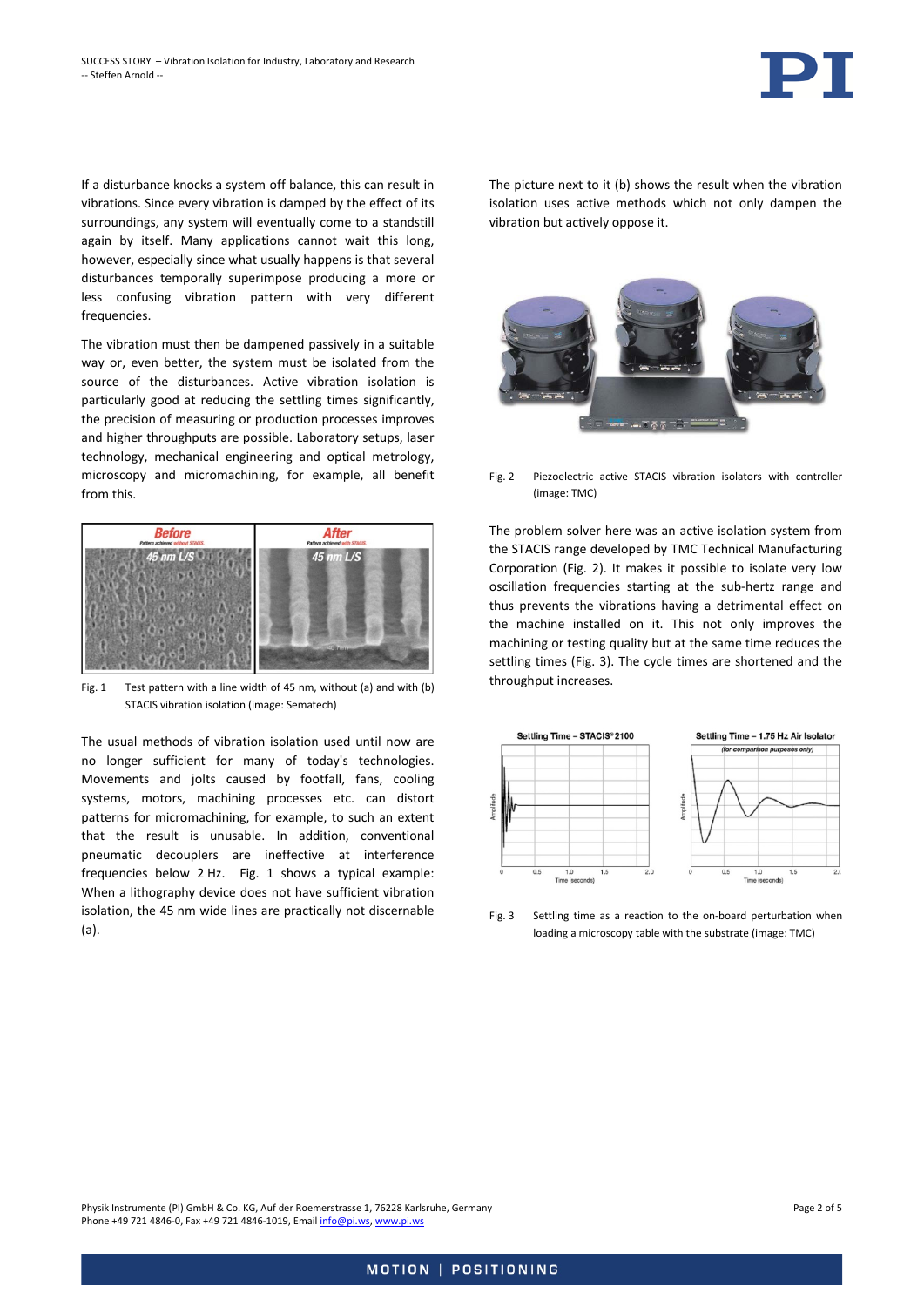

If a disturbance knocks a system off balance, this can result in vibrations. Since every vibration is damped by the effect of its surroundings, any system will eventually come to a standstill again by itself. Many applications cannot wait this long, however, especially since what usually happens is that several disturbances temporally superimpose producing a more or less confusing vibration pattern with very different frequencies.

The vibration must then be dampened passively in a suitable way or, even better, the system must be isolated from the source of the disturbances. Active vibration isolation is particularly good at reducing the settling times significantly, the precision of measuring or production processes improves and higher throughputs are possible. Laboratory setups, laser technology, mechanical engineering and optical metrology, microscopy and micromachining, for example, all benefit from this.



<span id="page-1-0"></span>Fig. 1 Test pattern with a line width of 45 nm, without (a) and with (b) STACIS vibration isolation (image: Sematech)

The usual methods of vibration isolation used until now are no longer sufficient for many of today's technologies. Movements and jolts caused by footfall, fans, cooling systems, motors, machining processes etc. can distort patterns for micromachining, for example, to such an extent that the result is unusable. In addition, conventional pneumatic decouplers are ineffective at interference frequencies below 2 Hz. [Fig. 1](#page-1-0) shows a typical example: When a lithography device does not have sufficient vibration isolation, the 45 nm wide lines are practically not discernable (a).

The picture next to it (b) shows the result when the vibration isolation uses active methods which not only dampen the vibration but actively oppose it.



<span id="page-1-1"></span>Fig. 2 Piezoelectric active STACIS vibration isolators with controller (image: TMC)

The problem solver here was an active isolation system from the STACIS range developed by TMC Technical Manufacturing Corporation [\(Fig. 2\)](#page-1-1). It makes it possible to isolate very low oscillation frequencies starting at the sub-hertz range and thus prevents the vibrations having a detrimental effect on the machine installed on it. This not only improves the machining or testing quality but at the same time reduces the settling times [\(Fig. 3\)](#page-1-2). The cycle times are shortened and the throughput increases.



<span id="page-1-2"></span>Fig. 3 Settling time as a reaction to the on-board perturbation when loading a microscopy table with the substrate (image: TMC)

Physik Instrumente (PI) GmbH & Co. KG, Auf der Roemerstrasse 1, 76228 Karlsruhe, Germany Page 2 of 5 Phone +49 721 4846-0, Fax +49 721 4846-1019, Emai[l info@pi.ws,](mailto:info@pi.ws) [www.pi.ws](http://www.pi.ws/)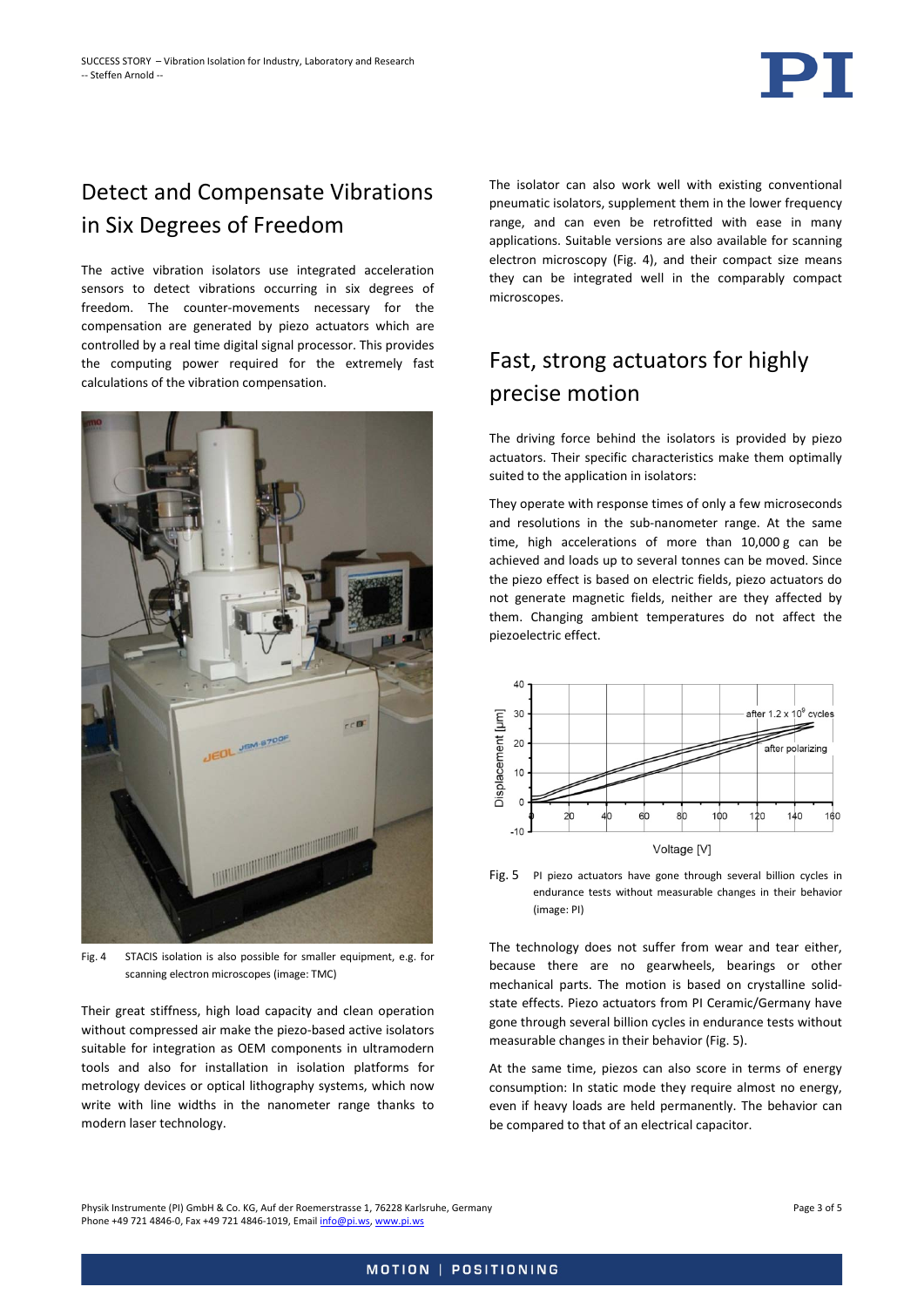### Detect and Compensate Vibrations in Six Degrees of Freedom

The active vibration isolators use integrated acceleration sensors to detect vibrations occurring in six degrees of freedom. The counter-movements necessary for the compensation are generated by piezo actuators which are controlled by a real time digital signal processor. This provides the computing power required for the extremely fast calculations of the vibration compensation.



Fig. 4 STACIS isolation is also possible for smaller equipment, e.g. for scanning electron microscopes (image: TMC)

<span id="page-2-0"></span>Their great stiffness, high load capacity and clean operation without compressed air make the piezo-based active isolators suitable for integration as OEM components in ultramodern tools and also for installation in isolation platforms for metrology devices or optical lithography systems, which now write with line widths in the nanometer range thanks to modern laser technology.

The isolator can also work well with existing conventional pneumatic isolators, supplement them in the lower frequency range, and can even be retrofitted with ease in many applications. Suitable versions are also available for scanning electron microscopy [\(Fig. 4\)](#page-2-0), and their compact size means they can be integrated well in the comparably compact microscopes.

## Fast, strong actuators for highly precise motion

The driving force behind the isolators is provided by piezo actuators. Their specific characteristics make them optimally suited to the application in isolators:

They operate with response times of only a few microseconds and resolutions in the sub-nanometer range. At the same time, high accelerations of more than 10,000 g can be achieved and loads up to several tonnes can be moved. Since the piezo effect is based on electric fields, piezo actuators do not generate magnetic fields, neither are they affected by them. Changing ambient temperatures do not affect the piezoelectric effect.



<span id="page-2-1"></span>Fig. 5 PI piezo actuators have gone through several billion cycles in endurance tests without measurable changes in their behavior (image: PI)

The technology does not suffer from wear and tear either, because there are no gearwheels, bearings or other mechanical parts. The motion is based on crystalline solidstate effects. Piezo actuators from PI Ceramic/Germany have gone through several billion cycles in endurance tests without measurable changes in their behavior [\(Fig. 5\)](#page-2-1).

At the same time, piezos can also score in terms of energy consumption: In static mode they require almost no energy, even if heavy loads are held permanently. The behavior can be compared to that of an electrical capacitor.

Physik Instrumente (PI) GmbH & Co. KG, Auf der Roemerstrasse 1, 76228 Karlsruhe, Germany Page 3 of 5 Phone +49 721 4846-0, Fax +49 721 4846-1019, Emai[l info@pi.ws,](mailto:info@pi.ws) [www.pi.ws](http://www.pi.ws/)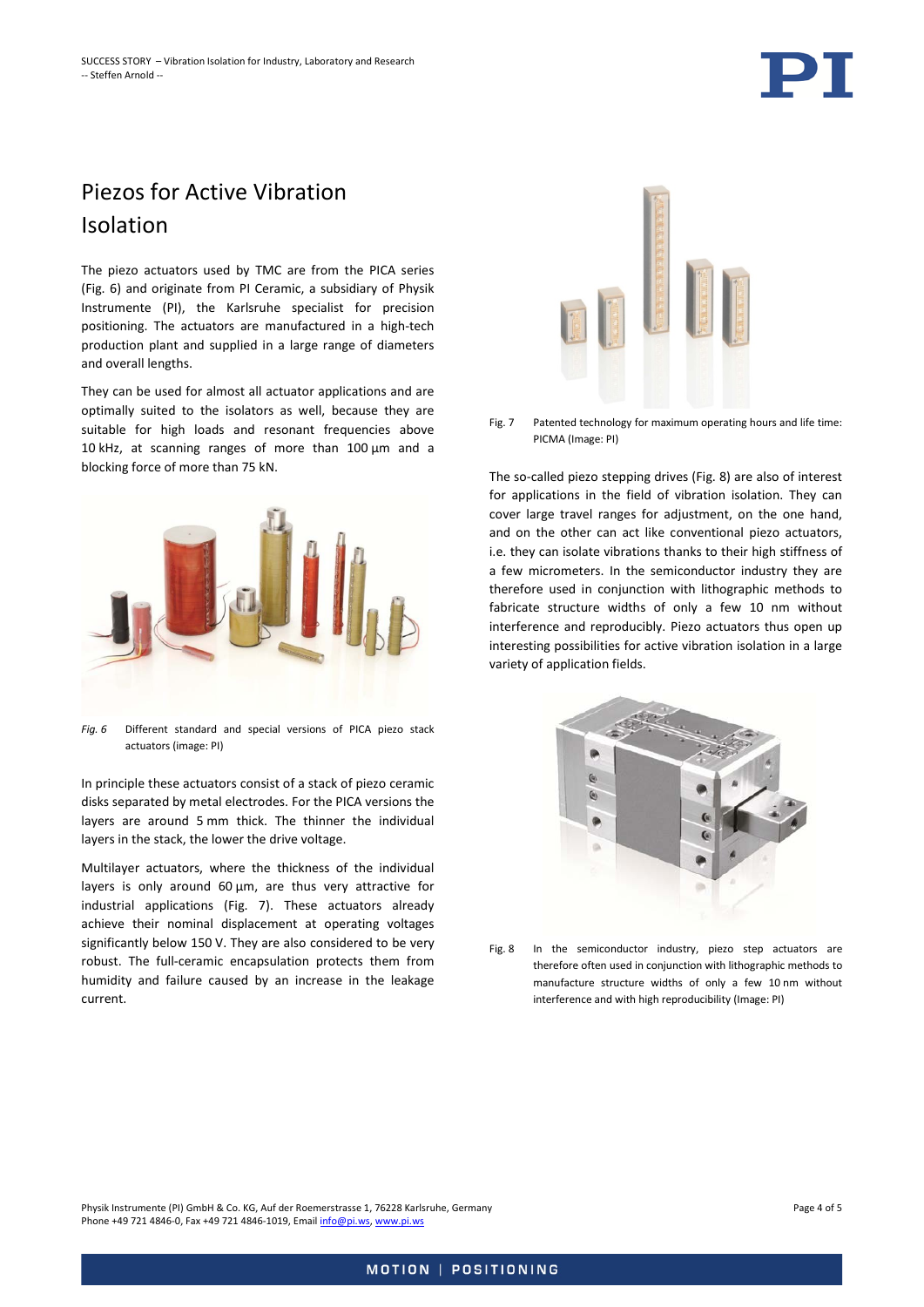

### Piezos for Active Vibration Isolation

The piezo actuators used by TMC are from the PICA series (Fig. 6) and originate from PI Ceramic, a subsidiary of Physik Instrumente (PI), the Karlsruhe specialist for precision positioning. The actuators are manufactured in a high-tech production plant and supplied in a large range of diameters and overall lengths.

They can be used for almost all actuator applications and are optimally suited to the isolators as well, because they are suitable for high loads and resonant frequencies above 10 kHz, at scanning ranges of more than 100 µm and a blocking force of more than 75 kN.



*Fig. 6* Different standard and special versions of PICA piezo stack actuators (image: PI)

In principle these actuators consist of a stack of piezo ceramic disks separated by metal electrodes. For the PICA versions the layers are around 5 mm thick. The thinner the individual layers in the stack, the lower the drive voltage.

Multilayer actuators, where the thickness of the individual layers is only around 60 µm, are thus very attractive for industrial applications [\(Fig. 7\)](#page-3-0). These actuators already achieve their nominal displacement at operating voltages significantly below 150 V. They are also considered to be very robust. The full-ceramic encapsulation protects them from humidity and failure caused by an increase in the leakage current.



Fig. 7 Patented technology for maximum operating hours and life time: PICMA (Image: PI)

<span id="page-3-0"></span>The so-called piezo stepping drives [\(Fig. 8\)](#page-3-1) are also of interest for applications in the field of vibration isolation. They can cover large travel ranges for adjustment, on the one hand, and on the other can act like conventional piezo actuators, i.e. they can isolate vibrations thanks to their high stiffness of a few micrometers. In the semiconductor industry they are therefore used in conjunction with lithographic methods to fabricate structure widths of only a few 10 nm without interference and reproducibly. Piezo actuators thus open up interesting possibilities for active vibration isolation in a large variety of application fields.



<span id="page-3-1"></span>Fig. 8 In the semiconductor industry, piezo step actuators are therefore often used in conjunction with lithographic methods to manufacture structure widths of only a few 10 nm without interference and with high reproducibility (Image: PI)

Physik Instrumente (PI) GmbH & Co. KG, Auf der Roemerstrasse 1, 76228 Karlsruhe, Germany Page 4 of 5 Phone +49 721 4846-0, Fax +49 721 4846-1019, Emai[l info@pi.ws,](mailto:info@pi.ws) [www.pi.ws](http://www.pi.ws/)